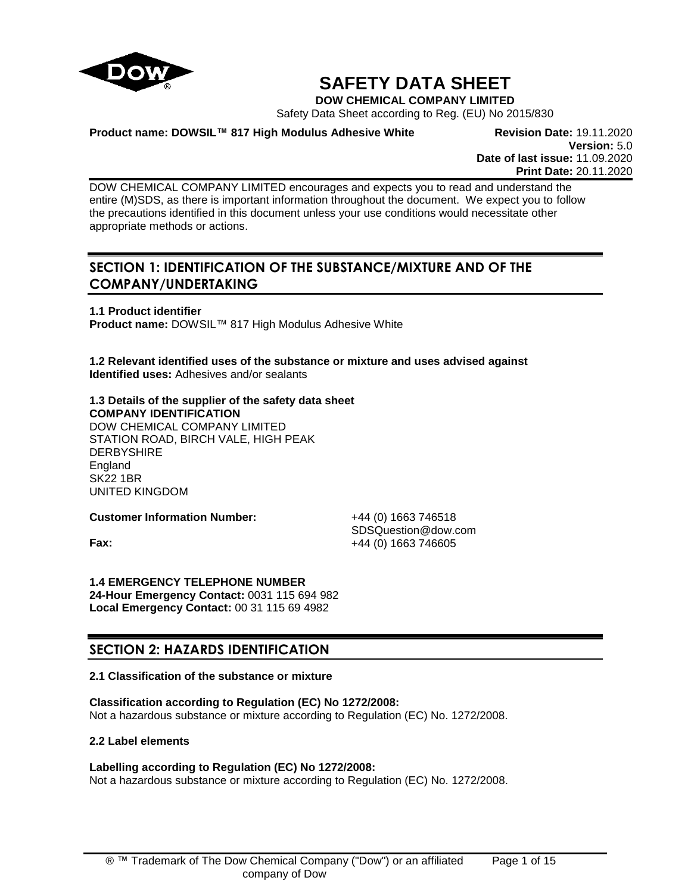

# **SAFETY DATA SHEET**

**DOW CHEMICAL COMPANY LIMITED**

Safety Data Sheet according to Reg. (EU) No 2015/830

**Product name: DOWSIL™ 817 High Modulus Adhesive White Revision Date:** 19.11.2020

**Version:** 5.0 **Date of last issue:** 11.09.2020 **Print Date:** 20.11.2020

DOW CHEMICAL COMPANY LIMITED encourages and expects you to read and understand the entire (M)SDS, as there is important information throughout the document. We expect you to follow the precautions identified in this document unless your use conditions would necessitate other appropriate methods or actions.

## **SECTION 1: IDENTIFICATION OF THE SUBSTANCE/MIXTURE AND OF THE COMPANY/UNDERTAKING**

**1.1 Product identifier Product name:** DOWSIL™ 817 High Modulus Adhesive White

**1.2 Relevant identified uses of the substance or mixture and uses advised against Identified uses:** Adhesives and/or sealants

## **1.3 Details of the supplier of the safety data sheet COMPANY IDENTIFICATION** DOW CHEMICAL COMPANY LIMITED

STATION ROAD, BIRCH VALE, HIGH PEAK **DERBYSHIRE England** SK22 1BR UNITED KINGDOM

**Customer Information Number:** +44 (0) 1663 746518

SDSQuestion@dow.com **Fax:**  $+44 (0) 1663 746605$ 

**1.4 EMERGENCY TELEPHONE NUMBER 24-Hour Emergency Contact:** 0031 115 694 982 **Local Emergency Contact:** 00 31 115 69 4982

## **SECTION 2: HAZARDS IDENTIFICATION**

## **2.1 Classification of the substance or mixture**

**Classification according to Regulation (EC) No 1272/2008:** Not a hazardous substance or mixture according to Regulation (EC) No. 1272/2008.

## **2.2 Label elements**

## **Labelling according to Regulation (EC) No 1272/2008:**

Not a hazardous substance or mixture according to Regulation (EC) No. 1272/2008.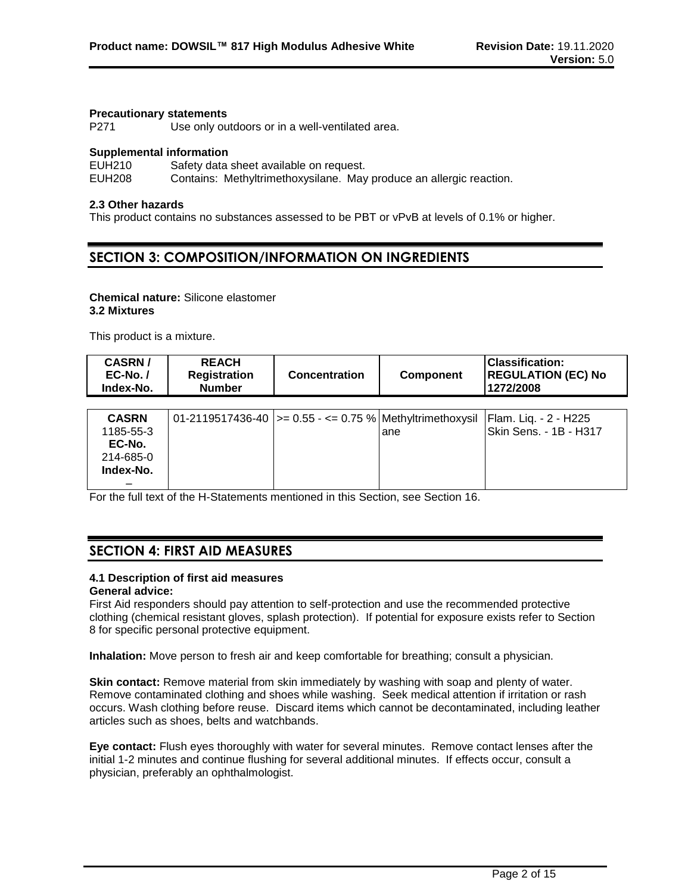#### **Precautionary statements**

P271 Use only outdoors or in a well-ventilated area.

### **Supplemental information**

EUH210 Safety data sheet available on request.

EUH208 Contains: Methyltrimethoxysilane. May produce an allergic reaction.

## **2.3 Other hazards**

This product contains no substances assessed to be PBT or vPvB at levels of 0.1% or higher.

## **SECTION 3: COMPOSITION/INFORMATION ON INGREDIENTS**

## **Chemical nature:** Silicone elastomer **3.2 Mixtures**

This product is a mixture.

| <b>CASRN/</b><br>$EC-No.$ /<br>Index-No.                      | <b>REACH</b><br><b>Registration</b><br><b>Number</b> | <b>Concentration</b>                                           | <b>Component</b> | Classification:<br><b>REGULATION (EC) No</b><br>1272/2008 |
|---------------------------------------------------------------|------------------------------------------------------|----------------------------------------------------------------|------------------|-----------------------------------------------------------|
| <b>CASRN</b><br>1185-55-3<br>EC-No.<br>214-685-0<br>Index-No. |                                                      | 01-2119517436-40   > = 0.55 - < = 0.75 %   Methyltrimethoxysil | lane             | Flam. Liq. - 2 - H225<br>Skin Sens. - 1B - H317           |

For the full text of the H-Statements mentioned in this Section, see Section 16.

## **SECTION 4: FIRST AID MEASURES**

## **4.1 Description of first aid measures**

## **General advice:**

First Aid responders should pay attention to self-protection and use the recommended protective clothing (chemical resistant gloves, splash protection). If potential for exposure exists refer to Section 8 for specific personal protective equipment.

**Inhalation:** Move person to fresh air and keep comfortable for breathing; consult a physician.

**Skin contact:** Remove material from skin immediately by washing with soap and plenty of water. Remove contaminated clothing and shoes while washing. Seek medical attention if irritation or rash occurs. Wash clothing before reuse. Discard items which cannot be decontaminated, including leather articles such as shoes, belts and watchbands.

**Eye contact:** Flush eyes thoroughly with water for several minutes. Remove contact lenses after the initial 1-2 minutes and continue flushing for several additional minutes. If effects occur, consult a physician, preferably an ophthalmologist.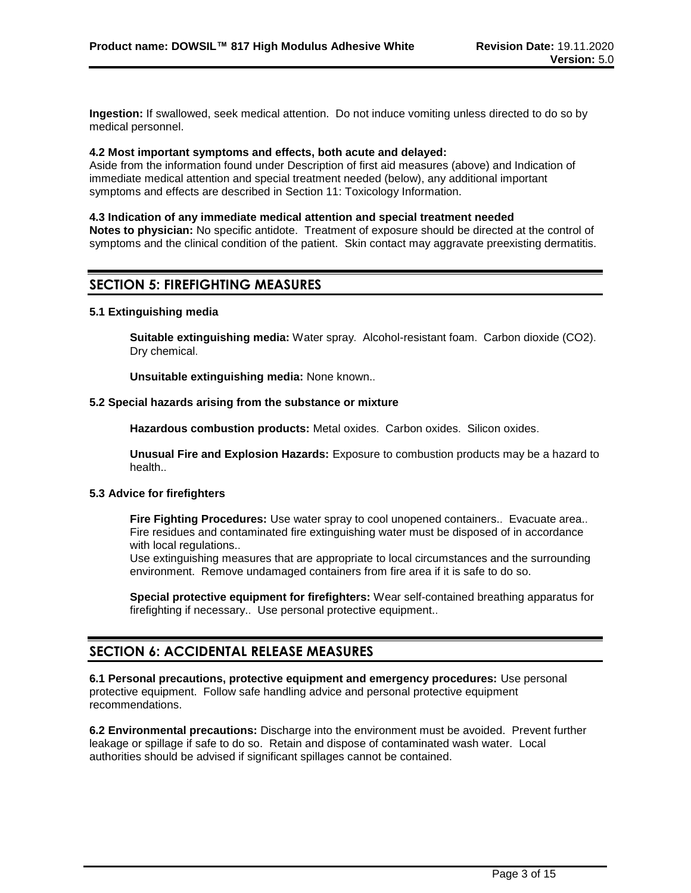**Ingestion:** If swallowed, seek medical attention. Do not induce vomiting unless directed to do so by medical personnel.

#### **4.2 Most important symptoms and effects, both acute and delayed:**

Aside from the information found under Description of first aid measures (above) and Indication of immediate medical attention and special treatment needed (below), any additional important symptoms and effects are described in Section 11: Toxicology Information.

#### **4.3 Indication of any immediate medical attention and special treatment needed**

**Notes to physician:** No specific antidote. Treatment of exposure should be directed at the control of symptoms and the clinical condition of the patient. Skin contact may aggravate preexisting dermatitis.

## **SECTION 5: FIREFIGHTING MEASURES**

#### **5.1 Extinguishing media**

**Suitable extinguishing media:** Water spray. Alcohol-resistant foam. Carbon dioxide (CO2). Dry chemical.

**Unsuitable extinguishing media:** None known..

## **5.2 Special hazards arising from the substance or mixture**

**Hazardous combustion products:** Metal oxides. Carbon oxides. Silicon oxides.

**Unusual Fire and Explosion Hazards:** Exposure to combustion products may be a hazard to health..

### **5.3 Advice for firefighters**

**Fire Fighting Procedures:** Use water spray to cool unopened containers.. Evacuate area.. Fire residues and contaminated fire extinguishing water must be disposed of in accordance with local regulations..

Use extinguishing measures that are appropriate to local circumstances and the surrounding environment. Remove undamaged containers from fire area if it is safe to do so.

**Special protective equipment for firefighters:** Wear self-contained breathing apparatus for firefighting if necessary.. Use personal protective equipment..

## **SECTION 6: ACCIDENTAL RELEASE MEASURES**

**6.1 Personal precautions, protective equipment and emergency procedures:** Use personal protective equipment. Follow safe handling advice and personal protective equipment recommendations.

**6.2 Environmental precautions:** Discharge into the environment must be avoided. Prevent further leakage or spillage if safe to do so. Retain and dispose of contaminated wash water. Local authorities should be advised if significant spillages cannot be contained.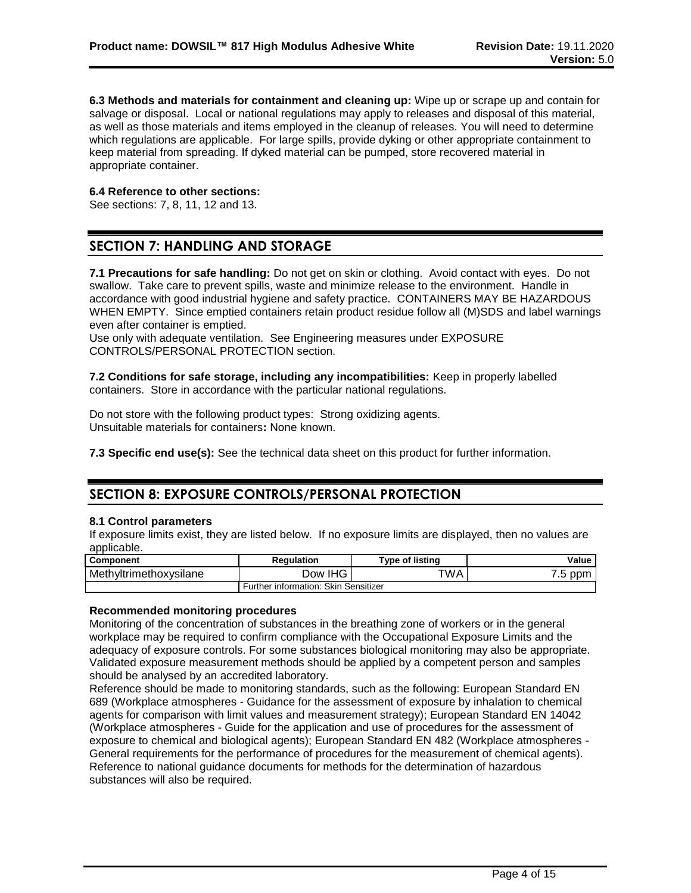**6.3 Methods and materials for containment and cleaning up:** Wipe up or scrape up and contain for salvage or disposal. Local or national regulations may apply to releases and disposal of this material, as well as those materials and items employed in the cleanup of releases. You will need to determine which regulations are applicable. For large spills, provide dyking or other appropriate containment to keep material from spreading. If dyked material can be pumped, store recovered material in appropriate container.

## **6.4 Reference to other sections:**

See sections: 7, 8, 11, 12 and 13.

## **SECTION 7: HANDLING AND STORAGE**

**7.1 Precautions for safe handling:** Do not get on skin or clothing. Avoid contact with eyes. Do not swallow. Take care to prevent spills, waste and minimize release to the environment. Handle in accordance with good industrial hygiene and safety practice. CONTAINERS MAY BE HAZARDOUS WHEN EMPTY. Since emptied containers retain product residue follow all (M)SDS and label warnings even after container is emptied.

Use only with adequate ventilation. See Engineering measures under EXPOSURE CONTROLS/PERSONAL PROTECTION section.

**7.2 Conditions for safe storage, including any incompatibilities:** Keep in properly labelled containers. Store in accordance with the particular national regulations.

Do not store with the following product types: Strong oxidizing agents. Unsuitable materials for containers**:** None known.

**7.3 Specific end use(s):** See the technical data sheet on this product for further information.

## **SECTION 8: EXPOSURE CONTROLS/PERSONAL PROTECTION**

#### **8.1 Control parameters**

If exposure limits exist, they are listed below. If no exposure limits are displayed, then no values are applicable.

| <b>Component</b>       | <b>Regulation</b>                    | <b>Type of listing</b> | <b>Value</b> |
|------------------------|--------------------------------------|------------------------|--------------|
| Methyltrimethoxysilane | Dow IHG                              | TWA                    | ppm<br>.5    |
|                        | Further information: Skin Sensitizer |                        |              |

#### **Recommended monitoring procedures**

Monitoring of the concentration of substances in the breathing zone of workers or in the general workplace may be required to confirm compliance with the Occupational Exposure Limits and the adequacy of exposure controls. For some substances biological monitoring may also be appropriate. Validated exposure measurement methods should be applied by a competent person and samples should be analysed by an accredited laboratory.

Reference should be made to monitoring standards, such as the following: European Standard EN 689 (Workplace atmospheres - Guidance for the assessment of exposure by inhalation to chemical agents for comparison with limit values and measurement strategy); European Standard EN 14042 (Workplace atmospheres - Guide for the application and use of procedures for the assessment of exposure to chemical and biological agents); European Standard EN 482 (Workplace atmospheres - General requirements for the performance of procedures for the measurement of chemical agents). Reference to national guidance documents for methods for the determination of hazardous substances will also be required.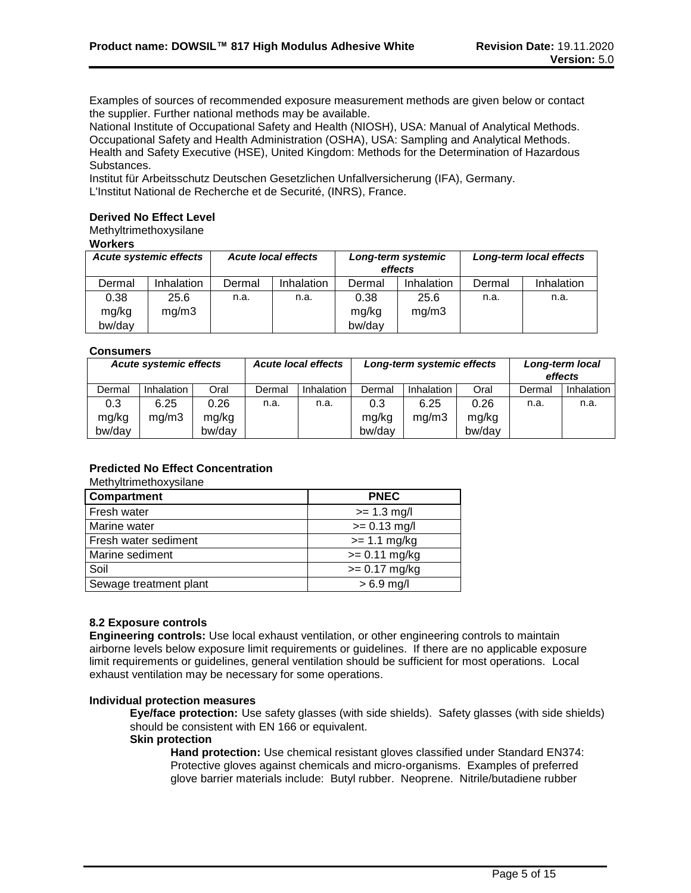Examples of sources of recommended exposure measurement methods are given below or contact the supplier. Further national methods may be available.

National Institute of Occupational Safety and Health (NIOSH), USA: Manual of Analytical Methods. Occupational Safety and Health Administration (OSHA), USA: Sampling and Analytical Methods. Health and Safety Executive (HSE), United Kingdom: Methods for the Determination of Hazardous Substances.

Institut für Arbeitsschutz Deutschen Gesetzlichen Unfallversicherung (IFA), Germany. L'Institut National de Recherche et de Securité, (INRS), France.

## **Derived No Effect Level**

Methyltrimethoxysilane

## **Workers**

| <b>Acute systemic effects</b> |            | <b>Acute local effects</b> |            | Long-term systemic<br>effects |            | Long-term local effects |            |
|-------------------------------|------------|----------------------------|------------|-------------------------------|------------|-------------------------|------------|
| Dermal                        | Inhalation | Dermal                     | Inhalation | Dermal                        | Inhalation | Dermal                  | Inhalation |
| 0.38                          | 25.6       | n.a.                       | n.a.       | 0.38                          | 25.6       | n.a.                    | n.a.       |
| mg/kg                         | mq/m3      |                            |            | mg/kg                         | mq/m3      |                         |            |
| bw/day                        |            |                            |            | bw/day                        |            |                         |            |

### **Consumers**

| <b>Acute systemic effects</b> |            |        | <b>Acute local effects</b> | Long-term systemic effects |        | Long-term local<br>effects |        |        |            |
|-------------------------------|------------|--------|----------------------------|----------------------------|--------|----------------------------|--------|--------|------------|
| Dermal                        | Inhalation | Oral   | Dermal                     | <b>Inhalation</b>          | Dermal | Inhalation                 | Oral   | Dermal | Inhalation |
| 0.3                           | 6.25       | 0.26   | n.a.                       | n.a.                       | 0.3    | 6.25                       | 0.26   | n.a.   | n.a.       |
| mg/kg                         | ma/m3      | mg/kg  |                            |                            | mg/kg  | mg/m3                      | mg/kg  |        |            |
| bw/day                        |            | bw/day |                            |                            | bw/day |                            | bw/day |        |            |

## **Predicted No Effect Concentration**

#### Methyltrimethoxysilane

| Compartment            | <b>PNEC</b>     |
|------------------------|-----------------|
| Fresh water            | $>= 1.3$ mg/l   |
| Marine water           | $>= 0.13$ mg/l  |
| Fresh water sediment   | $>= 1.1$ mg/kg  |
| Marine sediment        | $>= 0.11$ mg/kg |
| Soil                   | $>= 0.17$ mg/kg |
| Sewage treatment plant | $> 6.9$ mg/l    |

#### **8.2 Exposure controls**

**Engineering controls:** Use local exhaust ventilation, or other engineering controls to maintain airborne levels below exposure limit requirements or guidelines. If there are no applicable exposure limit requirements or guidelines, general ventilation should be sufficient for most operations. Local exhaust ventilation may be necessary for some operations.

#### **Individual protection measures**

**Eye/face protection:** Use safety glasses (with side shields). Safety glasses (with side shields) should be consistent with EN 166 or equivalent.

## **Skin protection**

**Hand protection:** Use chemical resistant gloves classified under Standard EN374: Protective gloves against chemicals and micro-organisms. Examples of preferred glove barrier materials include: Butyl rubber. Neoprene. Nitrile/butadiene rubber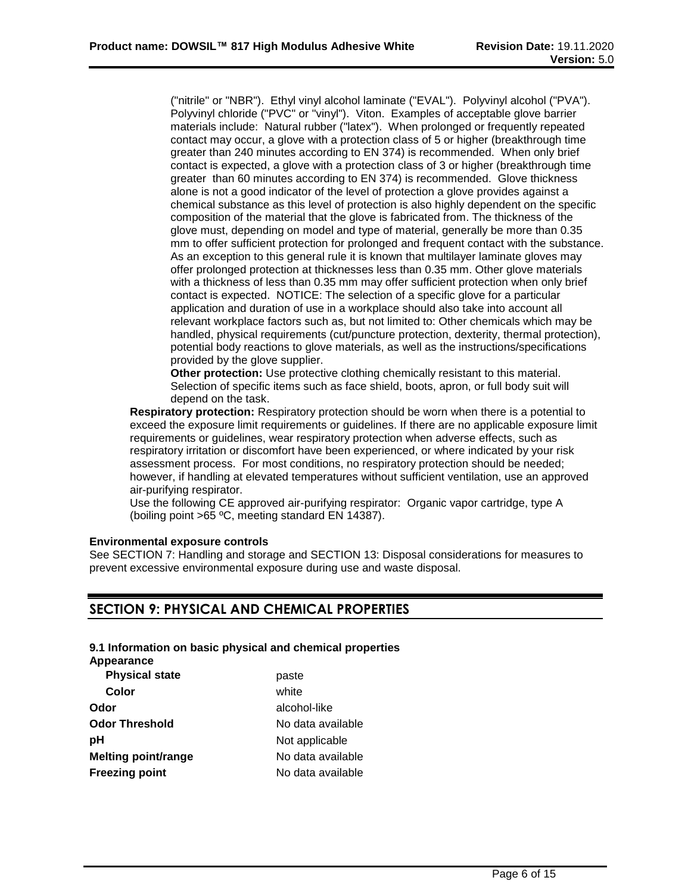("nitrile" or "NBR"). Ethyl vinyl alcohol laminate ("EVAL"). Polyvinyl alcohol ("PVA"). Polyvinyl chloride ("PVC" or "vinyl"). Viton. Examples of acceptable glove barrier materials include: Natural rubber ("latex"). When prolonged or frequently repeated contact may occur, a glove with a protection class of 5 or higher (breakthrough time greater than 240 minutes according to EN 374) is recommended. When only brief contact is expected, a glove with a protection class of 3 or higher (breakthrough time greater than 60 minutes according to EN 374) is recommended. Glove thickness alone is not a good indicator of the level of protection a glove provides against a chemical substance as this level of protection is also highly dependent on the specific composition of the material that the glove is fabricated from. The thickness of the glove must, depending on model and type of material, generally be more than 0.35 mm to offer sufficient protection for prolonged and frequent contact with the substance. As an exception to this general rule it is known that multilayer laminate gloves may offer prolonged protection at thicknesses less than 0.35 mm. Other glove materials with a thickness of less than 0.35 mm may offer sufficient protection when only brief contact is expected. NOTICE: The selection of a specific glove for a particular application and duration of use in a workplace should also take into account all relevant workplace factors such as, but not limited to: Other chemicals which may be handled, physical requirements (cut/puncture protection, dexterity, thermal protection), potential body reactions to glove materials, as well as the instructions/specifications provided by the glove supplier.

**Other protection:** Use protective clothing chemically resistant to this material. Selection of specific items such as face shield, boots, apron, or full body suit will depend on the task.

**Respiratory protection:** Respiratory protection should be worn when there is a potential to exceed the exposure limit requirements or guidelines. If there are no applicable exposure limit requirements or guidelines, wear respiratory protection when adverse effects, such as respiratory irritation or discomfort have been experienced, or where indicated by your risk assessment process. For most conditions, no respiratory protection should be needed; however, if handling at elevated temperatures without sufficient ventilation, use an approved air-purifying respirator.

Use the following CE approved air-purifying respirator: Organic vapor cartridge, type A (boiling point >65 ºC, meeting standard EN 14387).

## **Environmental exposure controls**

See SECTION 7: Handling and storage and SECTION 13: Disposal considerations for measures to prevent excessive environmental exposure during use and waste disposal.

## **SECTION 9: PHYSICAL AND CHEMICAL PROPERTIES**

## **9.1 Information on basic physical and chemical properties**

**Appearance**

| white<br>Color                                  |  |
|-------------------------------------------------|--|
|                                                 |  |
| alcohol-like<br>Odor                            |  |
| Odor Threshold<br>No data available             |  |
| рH<br>Not applicable                            |  |
| <b>Melting point/range</b><br>No data available |  |
| <b>Freezing point</b><br>No data available      |  |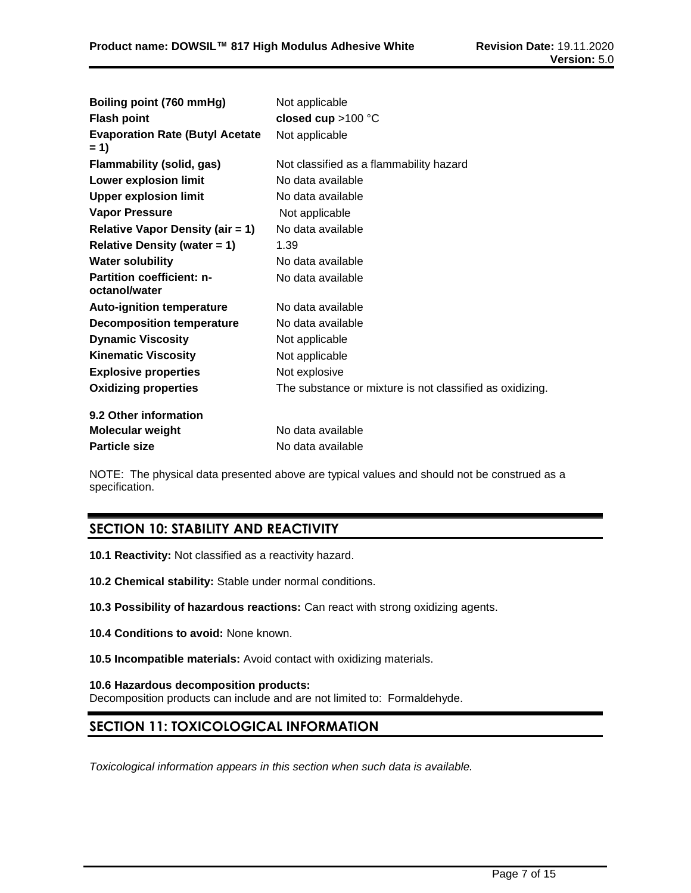| Boiling point (760 mmHg)                          | Not applicable                                           |
|---------------------------------------------------|----------------------------------------------------------|
| <b>Flash point</b>                                | closed cup $>100$ °C                                     |
| <b>Evaporation Rate (Butyl Acetate</b><br>$= 1$   | Not applicable                                           |
| <b>Flammability (solid, gas)</b>                  | Not classified as a flammability hazard                  |
| <b>Lower explosion limit</b>                      | No data available                                        |
| <b>Upper explosion limit</b>                      | No data available                                        |
| <b>Vapor Pressure</b>                             | Not applicable                                           |
| <b>Relative Vapor Density (air = 1)</b>           | No data available                                        |
| <b>Relative Density (water = 1)</b>               | 1.39                                                     |
| <b>Water solubility</b>                           | No data available                                        |
| <b>Partition coefficient: n-</b><br>octanol/water | No data available                                        |
| <b>Auto-ignition temperature</b>                  | No data available                                        |
| <b>Decomposition temperature</b>                  | No data available                                        |
| <b>Dynamic Viscosity</b>                          | Not applicable                                           |
| <b>Kinematic Viscosity</b>                        | Not applicable                                           |
| <b>Explosive properties</b>                       | Not explosive                                            |
| <b>Oxidizing properties</b>                       | The substance or mixture is not classified as oxidizing. |
| 9.2 Other information                             |                                                          |
| <b>Molecular weight</b>                           | No data available                                        |
| <b>Particle size</b>                              | No data available                                        |

NOTE: The physical data presented above are typical values and should not be construed as a specification.

## **SECTION 10: STABILITY AND REACTIVITY**

- **10.1 Reactivity:** Not classified as a reactivity hazard.
- **10.2 Chemical stability:** Stable under normal conditions.
- **10.3 Possibility of hazardous reactions:** Can react with strong oxidizing agents.
- **10.4 Conditions to avoid:** None known.
- **10.5 Incompatible materials:** Avoid contact with oxidizing materials.

## **10.6 Hazardous decomposition products:**

Decomposition products can include and are not limited to: Formaldehyde.

## **SECTION 11: TOXICOLOGICAL INFORMATION**

*Toxicological information appears in this section when such data is available.*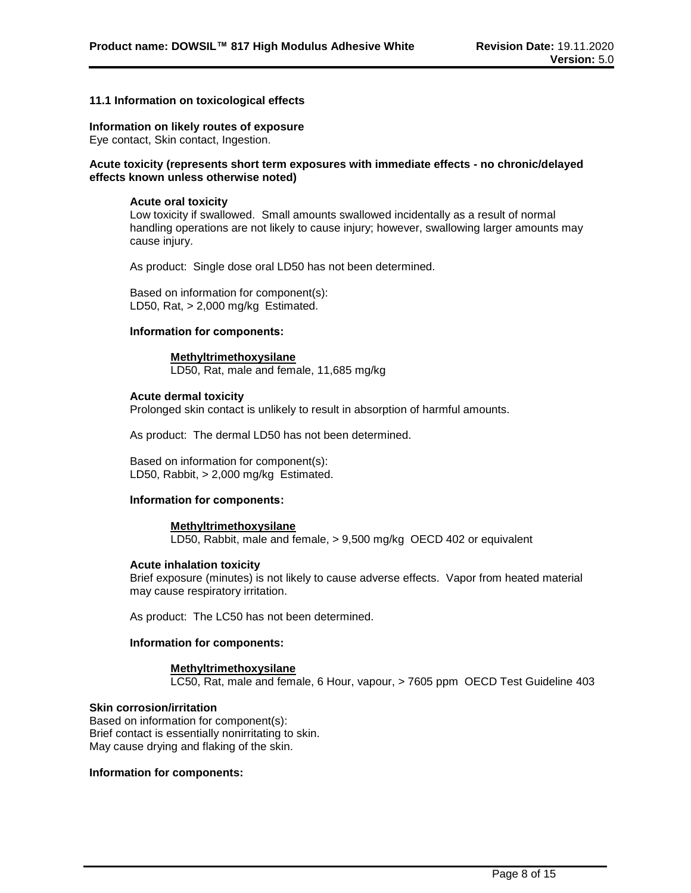## **11.1 Information on toxicological effects**

#### **Information on likely routes of exposure**

Eye contact, Skin contact, Ingestion.

### **Acute toxicity (represents short term exposures with immediate effects - no chronic/delayed effects known unless otherwise noted)**

#### **Acute oral toxicity**

Low toxicity if swallowed. Small amounts swallowed incidentally as a result of normal handling operations are not likely to cause injury; however, swallowing larger amounts may cause injury.

As product: Single dose oral LD50 has not been determined.

Based on information for component(s): LD50, Rat, > 2,000 mg/kg Estimated.

#### **Information for components:**

#### **Methyltrimethoxysilane**

LD50, Rat, male and female, 11,685 mg/kg

## **Acute dermal toxicity**

Prolonged skin contact is unlikely to result in absorption of harmful amounts.

As product: The dermal LD50 has not been determined.

Based on information for component(s): LD50, Rabbit, > 2,000 mg/kg Estimated.

#### **Information for components:**

#### **Methyltrimethoxysilane**

LD50, Rabbit, male and female, > 9,500 mg/kg OECD 402 or equivalent

## **Acute inhalation toxicity**

Brief exposure (minutes) is not likely to cause adverse effects. Vapor from heated material may cause respiratory irritation.

As product: The LC50 has not been determined.

#### **Information for components:**

## **Methyltrimethoxysilane**

LC50, Rat, male and female, 6 Hour, vapour, > 7605 ppm OECD Test Guideline 403

#### **Skin corrosion/irritation**

Based on information for component(s): Brief contact is essentially nonirritating to skin. May cause drying and flaking of the skin.

### **Information for components:**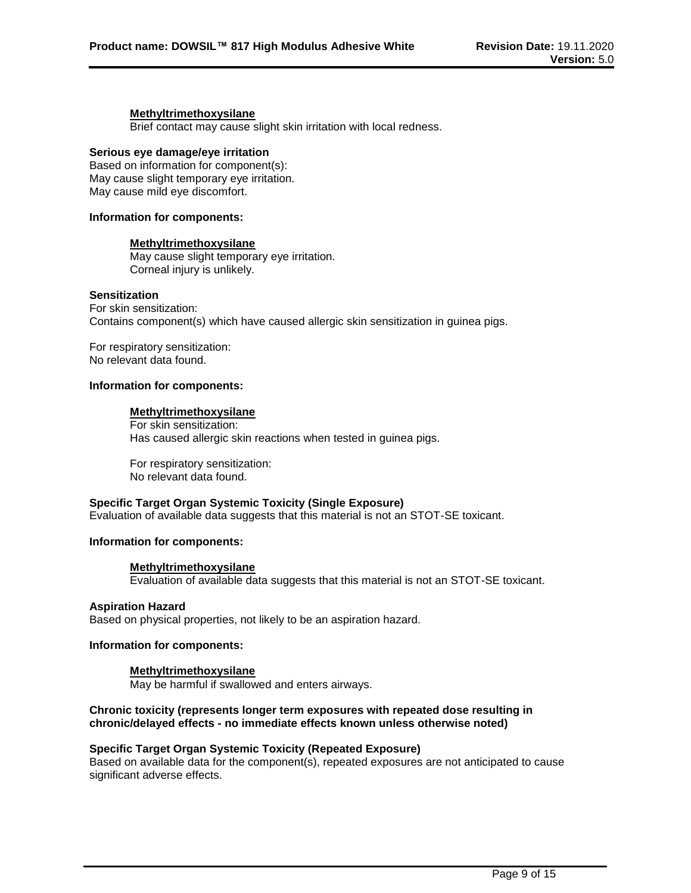#### **Methyltrimethoxysilane**

Brief contact may cause slight skin irritation with local redness.

### **Serious eye damage/eye irritation**

Based on information for component(s): May cause slight temporary eye irritation. May cause mild eye discomfort.

#### **Information for components:**

### **Methyltrimethoxysilane**

May cause slight temporary eye irritation. Corneal injury is unlikely.

### **Sensitization**

For skin sensitization: Contains component(s) which have caused allergic skin sensitization in guinea pigs.

For respiratory sensitization: No relevant data found.

### **Information for components:**

## **Methyltrimethoxysilane**

For skin sensitization: Has caused allergic skin reactions when tested in guinea pigs.

For respiratory sensitization: No relevant data found.

## **Specific Target Organ Systemic Toxicity (Single Exposure)**

Evaluation of available data suggests that this material is not an STOT-SE toxicant.

#### **Information for components:**

## **Methyltrimethoxysilane**

Evaluation of available data suggests that this material is not an STOT-SE toxicant.

#### **Aspiration Hazard**

Based on physical properties, not likely to be an aspiration hazard.

#### **Information for components:**

## **Methyltrimethoxysilane**

May be harmful if swallowed and enters airways.

## **Chronic toxicity (represents longer term exposures with repeated dose resulting in chronic/delayed effects - no immediate effects known unless otherwise noted)**

## **Specific Target Organ Systemic Toxicity (Repeated Exposure)**

Based on available data for the component(s), repeated exposures are not anticipated to cause significant adverse effects.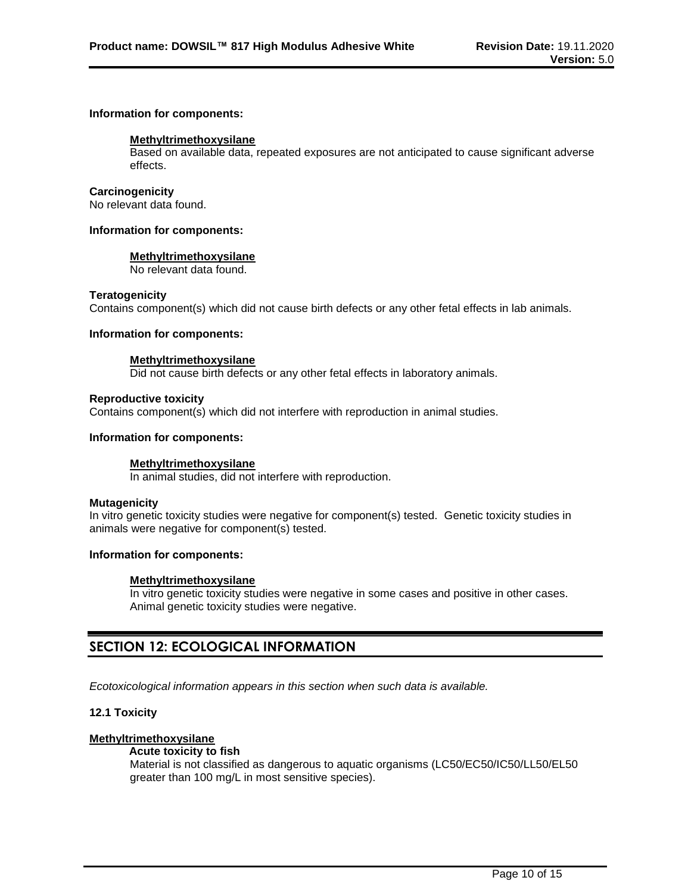#### **Information for components:**

### **Methyltrimethoxysilane**

Based on available data, repeated exposures are not anticipated to cause significant adverse effects.

### **Carcinogenicity**

No relevant data found.

### **Information for components:**

### **Methyltrimethoxysilane**

No relevant data found.

### **Teratogenicity**

Contains component(s) which did not cause birth defects or any other fetal effects in lab animals.

## **Information for components:**

### **Methyltrimethoxysilane**

Did not cause birth defects or any other fetal effects in laboratory animals.

### **Reproductive toxicity**

Contains component(s) which did not interfere with reproduction in animal studies.

### **Information for components:**

## **Methyltrimethoxysilane**

In animal studies, did not interfere with reproduction.

#### **Mutagenicity**

In vitro genetic toxicity studies were negative for component(s) tested. Genetic toxicity studies in animals were negative for component(s) tested.

## **Information for components:**

## **Methyltrimethoxysilane**

In vitro genetic toxicity studies were negative in some cases and positive in other cases. Animal genetic toxicity studies were negative.

## **SECTION 12: ECOLOGICAL INFORMATION**

*Ecotoxicological information appears in this section when such data is available.*

## **12.1 Toxicity**

## **Methyltrimethoxysilane**

#### **Acute toxicity to fish** Material is not classified as dangerous to aquatic organisms (LC50/EC50/IC50/LL50/EL50 greater than 100 mg/L in most sensitive species).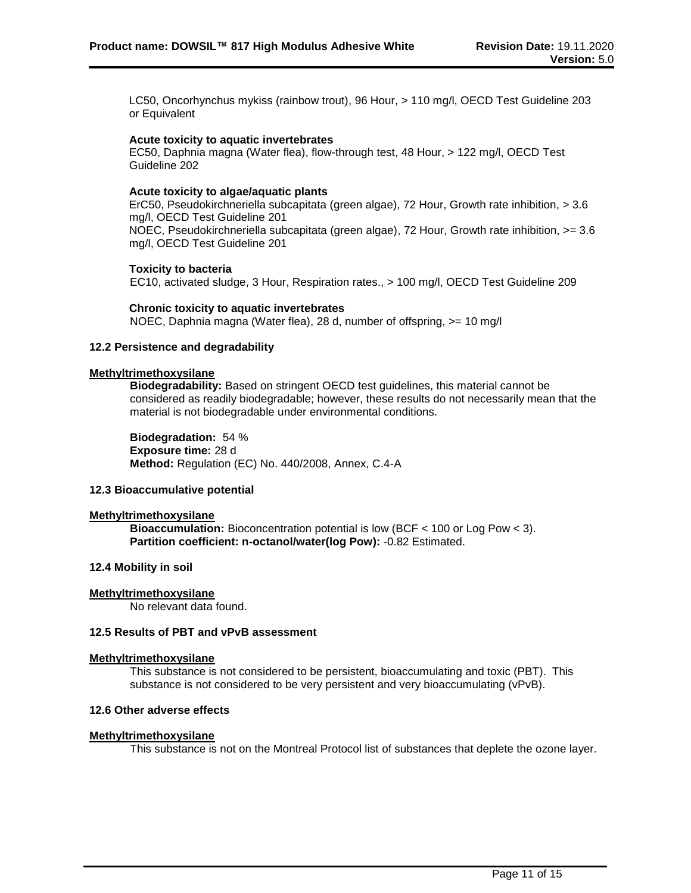LC50, Oncorhynchus mykiss (rainbow trout), 96 Hour, > 110 mg/l, OECD Test Guideline 203 or Equivalent

#### **Acute toxicity to aquatic invertebrates**

EC50, Daphnia magna (Water flea), flow-through test, 48 Hour, > 122 mg/l, OECD Test Guideline 202

#### **Acute toxicity to algae/aquatic plants**

ErC50, Pseudokirchneriella subcapitata (green algae), 72 Hour, Growth rate inhibition, > 3.6 mg/l, OECD Test Guideline 201 NOEC, Pseudokirchneriella subcapitata (green algae), 72 Hour, Growth rate inhibition, >= 3.6 mg/l, OECD Test Guideline 201

### **Toxicity to bacteria**

EC10, activated sludge, 3 Hour, Respiration rates., > 100 mg/l, OECD Test Guideline 209

#### **Chronic toxicity to aquatic invertebrates**

NOEC, Daphnia magna (Water flea), 28 d, number of offspring, >= 10 mg/l

## **12.2 Persistence and degradability**

### **Methyltrimethoxysilane**

**Biodegradability:** Based on stringent OECD test guidelines, this material cannot be considered as readily biodegradable; however, these results do not necessarily mean that the material is not biodegradable under environmental conditions.

**Biodegradation:** 54 % **Exposure time:** 28 d **Method:** Regulation (EC) No. 440/2008, Annex, C.4-A

## **12.3 Bioaccumulative potential**

## **Methyltrimethoxysilane**

**Bioaccumulation:** Bioconcentration potential is low (BCF < 100 or Log Pow < 3). **Partition coefficient: n-octanol/water(log Pow):** -0.82 Estimated.

## **12.4 Mobility in soil**

### **Methyltrimethoxysilane**

No relevant data found.

## **12.5 Results of PBT and vPvB assessment**

## **Methyltrimethoxysilane**

This substance is not considered to be persistent, bioaccumulating and toxic (PBT). This substance is not considered to be very persistent and very bioaccumulating (vPvB).

## **12.6 Other adverse effects**

#### **Methyltrimethoxysilane**

This substance is not on the Montreal Protocol list of substances that deplete the ozone layer.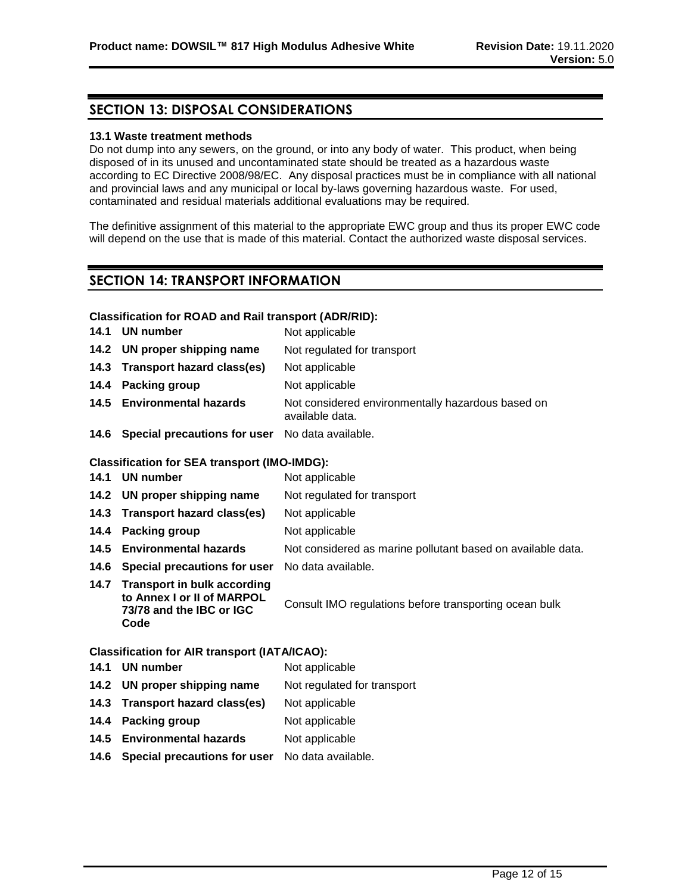## **SECTION 13: DISPOSAL CONSIDERATIONS**

### **13.1 Waste treatment methods**

Do not dump into any sewers, on the ground, or into any body of water. This product, when being disposed of in its unused and uncontaminated state should be treated as a hazardous waste according to EC Directive 2008/98/EC. Any disposal practices must be in compliance with all national and provincial laws and any municipal or local by-laws governing hazardous waste. For used, contaminated and residual materials additional evaluations may be required.

The definitive assignment of this material to the appropriate EWC group and thus its proper EWC code will depend on the use that is made of this material. Contact the authorized waste disposal services.

## **SECTION 14: TRANSPORT INFORMATION**

## **Classification for ROAD and Rail transport (ADR/RID):**

| 14.1 | <b>UN number</b>                                                                                     | Not applicable                                                       |
|------|------------------------------------------------------------------------------------------------------|----------------------------------------------------------------------|
| 14.2 | UN proper shipping name                                                                              | Not regulated for transport                                          |
| 14.3 | <b>Transport hazard class(es)</b>                                                                    | Not applicable                                                       |
| 14.4 | Packing group                                                                                        | Not applicable                                                       |
| 14.5 | <b>Environmental hazards</b>                                                                         | Not considered environmentally hazardous based on<br>available data. |
|      | 14.6 Special precautions for user                                                                    | No data available.                                                   |
|      | <b>Classification for SEA transport (IMO-IMDG):</b>                                                  |                                                                      |
| 14.1 | <b>UN number</b>                                                                                     | Not applicable                                                       |
| 14.2 | UN proper shipping name                                                                              | Not regulated for transport                                          |
| 14.3 | <b>Transport hazard class(es)</b>                                                                    | Not applicable                                                       |
| 14.4 | <b>Packing group</b>                                                                                 | Not applicable                                                       |
| 14.5 | <b>Environmental hazards</b>                                                                         | Not considered as marine pollutant based on available data.          |
| 14.6 | Special precautions for user                                                                         | No data available.                                                   |
| 14.7 | <b>Transport in bulk according</b><br>to Annex I or II of MARPOL<br>73/78 and the IBC or IGC<br>Code | Consult IMO regulations before transporting ocean bulk               |
|      | <b>Classification for AIR transport (IATA/ICAO):</b>                                                 |                                                                      |
| 14.1 | <b>UN number</b>                                                                                     | Not applicable                                                       |
| 14.2 | UN proper shipping name                                                                              | Not regulated for transport                                          |
| 14.3 | <b>Transport hazard class(es)</b>                                                                    | Not applicable                                                       |
| 14.4 | Packing group                                                                                        | Not applicable                                                       |
| 14.5 | <b>Environmental hazards</b>                                                                         | Not applicable                                                       |
|      |                                                                                                      |                                                                      |

**14.6 Special precautions for user** No data available.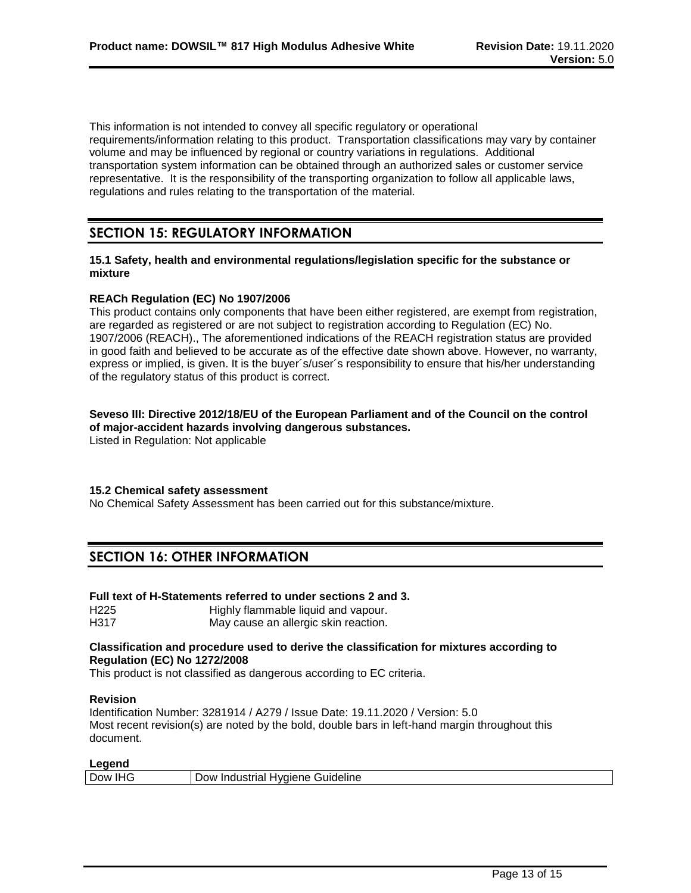This information is not intended to convey all specific regulatory or operational requirements/information relating to this product. Transportation classifications may vary by container volume and may be influenced by regional or country variations in regulations. Additional transportation system information can be obtained through an authorized sales or customer service representative. It is the responsibility of the transporting organization to follow all applicable laws, regulations and rules relating to the transportation of the material.

## **SECTION 15: REGULATORY INFORMATION**

## **15.1 Safety, health and environmental regulations/legislation specific for the substance or mixture**

## **REACh Regulation (EC) No 1907/2006**

This product contains only components that have been either registered, are exempt from registration, are regarded as registered or are not subject to registration according to Regulation (EC) No. 1907/2006 (REACH)., The aforementioned indications of the REACH registration status are provided in good faith and believed to be accurate as of the effective date shown above. However, no warranty, express or implied, is given. It is the buyer´s/user´s responsibility to ensure that his/her understanding of the regulatory status of this product is correct.

## **Seveso III: Directive 2012/18/EU of the European Parliament and of the Council on the control of major-accident hazards involving dangerous substances.**

Listed in Regulation: Not applicable

## **15.2 Chemical safety assessment**

No Chemical Safety Assessment has been carried out for this substance/mixture.

## **SECTION 16: OTHER INFORMATION**

## **Full text of H-Statements referred to under sections 2 and 3.**

H225 Highly flammable liquid and vapour. H317 May cause an allergic skin reaction.

## **Classification and procedure used to derive the classification for mixtures according to Regulation (EC) No 1272/2008**

This product is not classified as dangerous according to EC criteria.

## **Revision**

Identification Number: 3281914 / A279 / Issue Date: 19.11.2020 / Version: 5.0 Most recent revision(s) are noted by the bold, double bars in left-hand margin throughout this document.

## **Legend**

| ---------<br>$\sim$          |                                                          |
|------------------------------|----------------------------------------------------------|
| -<br>∶ ו∧ו∩ו<br>. m . –<br>◡ | uideline<br>avaie.<br>JOW.<br>יו ורזנו<br>بہ 1<br>- 1111 |
|                              |                                                          |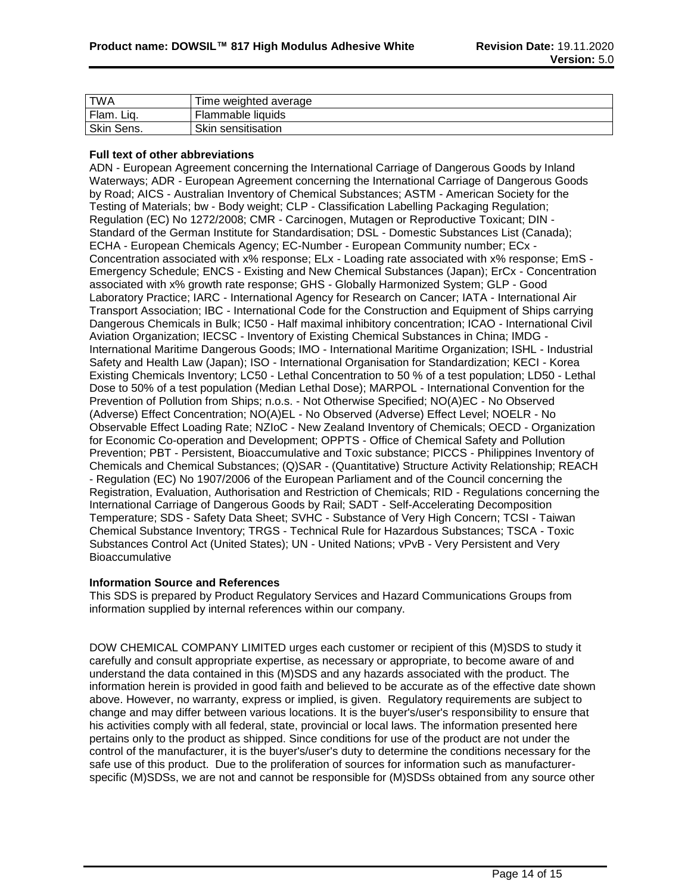| TWA        | Time weighted average |
|------------|-----------------------|
| Flam. Liq. | Flammable liquids     |
| Skin Sens. | Skin sensitisation    |

## **Full text of other abbreviations**

ADN - European Agreement concerning the International Carriage of Dangerous Goods by Inland Waterways; ADR - European Agreement concerning the International Carriage of Dangerous Goods by Road; AICS - Australian Inventory of Chemical Substances; ASTM - American Society for the Testing of Materials; bw - Body weight; CLP - Classification Labelling Packaging Regulation; Regulation (EC) No 1272/2008; CMR - Carcinogen, Mutagen or Reproductive Toxicant; DIN - Standard of the German Institute for Standardisation; DSL - Domestic Substances List (Canada); ECHA - European Chemicals Agency; EC-Number - European Community number; ECx - Concentration associated with x% response; ELx - Loading rate associated with x% response; EmS - Emergency Schedule; ENCS - Existing and New Chemical Substances (Japan); ErCx - Concentration associated with x% growth rate response; GHS - Globally Harmonized System; GLP - Good Laboratory Practice; IARC - International Agency for Research on Cancer; IATA - International Air Transport Association; IBC - International Code for the Construction and Equipment of Ships carrying Dangerous Chemicals in Bulk; IC50 - Half maximal inhibitory concentration; ICAO - International Civil Aviation Organization; IECSC - Inventory of Existing Chemical Substances in China; IMDG - International Maritime Dangerous Goods; IMO - International Maritime Organization; ISHL - Industrial Safety and Health Law (Japan); ISO - International Organisation for Standardization; KECI - Korea Existing Chemicals Inventory; LC50 - Lethal Concentration to 50 % of a test population; LD50 - Lethal Dose to 50% of a test population (Median Lethal Dose); MARPOL - International Convention for the Prevention of Pollution from Ships; n.o.s. - Not Otherwise Specified; NO(A)EC - No Observed (Adverse) Effect Concentration; NO(A)EL - No Observed (Adverse) Effect Level; NOELR - No Observable Effect Loading Rate; NZIoC - New Zealand Inventory of Chemicals; OECD - Organization for Economic Co-operation and Development; OPPTS - Office of Chemical Safety and Pollution Prevention; PBT - Persistent, Bioaccumulative and Toxic substance; PICCS - Philippines Inventory of Chemicals and Chemical Substances; (Q)SAR - (Quantitative) Structure Activity Relationship; REACH - Regulation (EC) No 1907/2006 of the European Parliament and of the Council concerning the Registration, Evaluation, Authorisation and Restriction of Chemicals; RID - Regulations concerning the International Carriage of Dangerous Goods by Rail; SADT - Self-Accelerating Decomposition Temperature; SDS - Safety Data Sheet; SVHC - Substance of Very High Concern; TCSI - Taiwan Chemical Substance Inventory; TRGS - Technical Rule for Hazardous Substances; TSCA - Toxic Substances Control Act (United States); UN - United Nations; vPvB - Very Persistent and Very **Bioaccumulative** 

#### **Information Source and References**

This SDS is prepared by Product Regulatory Services and Hazard Communications Groups from information supplied by internal references within our company.

DOW CHEMICAL COMPANY LIMITED urges each customer or recipient of this (M)SDS to study it carefully and consult appropriate expertise, as necessary or appropriate, to become aware of and understand the data contained in this (M)SDS and any hazards associated with the product. The information herein is provided in good faith and believed to be accurate as of the effective date shown above. However, no warranty, express or implied, is given. Regulatory requirements are subject to change and may differ between various locations. It is the buyer's/user's responsibility to ensure that his activities comply with all federal, state, provincial or local laws. The information presented here pertains only to the product as shipped. Since conditions for use of the product are not under the control of the manufacturer, it is the buyer's/user's duty to determine the conditions necessary for the safe use of this product. Due to the proliferation of sources for information such as manufacturerspecific (M)SDSs, we are not and cannot be responsible for (M)SDSs obtained from any source other